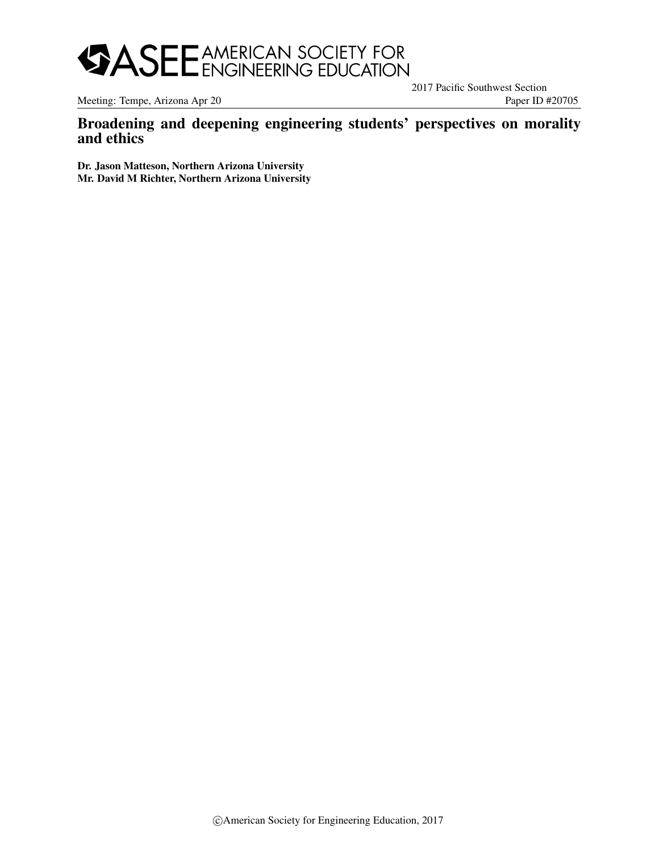

Meeting: Tempe, Arizona Apr 20 Paper ID #20705

2017 Pacific Southwest Section

# Broadening and deepening engineering students' perspectives on morality and ethics

Dr. Jason Matteson, Northern Arizona University Mr. David M Richter, Northern Arizona University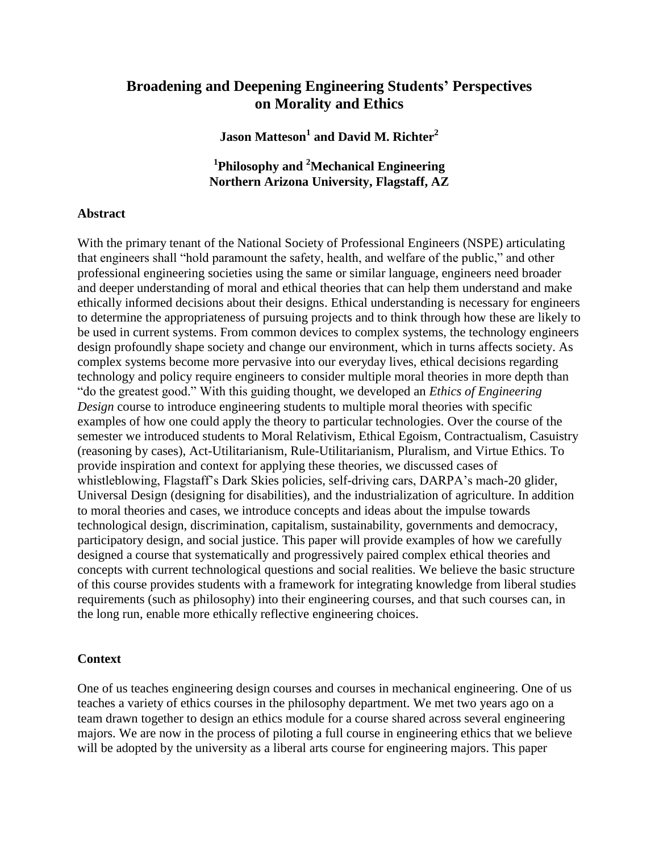# **Broadening and Deepening Engineering Students' Perspectives on Morality and Ethics**

**Jason Matteson<sup>1</sup> and David M. Richter<sup>2</sup>**

**1 Philosophy and <sup>2</sup>Mechanical Engineering Northern Arizona University, Flagstaff, AZ**

#### **Abstract**

With the primary tenant of the National Society of Professional Engineers (NSPE) articulating that engineers shall "hold paramount the safety, health, and welfare of the public," and other professional engineering societies using the same or similar language, engineers need broader and deeper understanding of moral and ethical theories that can help them understand and make ethically informed decisions about their designs. Ethical understanding is necessary for engineers to determine the appropriateness of pursuing projects and to think through how these are likely to be used in current systems. From common devices to complex systems, the technology engineers design profoundly shape society and change our environment, which in turns affects society. As complex systems become more pervasive into our everyday lives, ethical decisions regarding technology and policy require engineers to consider multiple moral theories in more depth than "do the greatest good." With this guiding thought, we developed an *Ethics of Engineering Design* course to introduce engineering students to multiple moral theories with specific examples of how one could apply the theory to particular technologies. Over the course of the semester we introduced students to Moral Relativism, Ethical Egoism, Contractualism, Casuistry (reasoning by cases), Act-Utilitarianism, Rule-Utilitarianism, Pluralism, and Virtue Ethics. To provide inspiration and context for applying these theories, we discussed cases of whistleblowing, Flagstaff's Dark Skies policies, self-driving cars, DARPA's mach-20 glider, Universal Design (designing for disabilities), and the industrialization of agriculture. In addition to moral theories and cases, we introduce concepts and ideas about the impulse towards technological design, discrimination, capitalism, sustainability, governments and democracy, participatory design, and social justice. This paper will provide examples of how we carefully designed a course that systematically and progressively paired complex ethical theories and concepts with current technological questions and social realities. We believe the basic structure of this course provides students with a framework for integrating knowledge from liberal studies requirements (such as philosophy) into their engineering courses, and that such courses can, in the long run, enable more ethically reflective engineering choices.

### **Context**

One of us teaches engineering design courses and courses in mechanical engineering. One of us teaches a variety of ethics courses in the philosophy department. We met two years ago on a team drawn together to design an ethics module for a course shared across several engineering majors. We are now in the process of piloting a full course in engineering ethics that we believe will be adopted by the university as a liberal arts course for engineering majors. This paper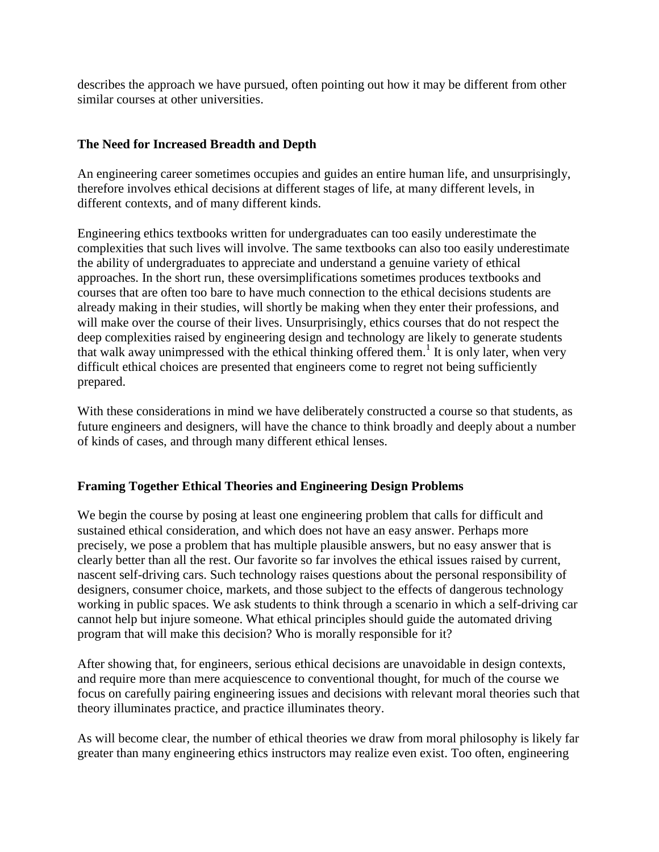describes the approach we have pursued, often pointing out how it may be different from other similar courses at other universities.

# **The Need for Increased Breadth and Depth**

An engineering career sometimes occupies and guides an entire human life, and unsurprisingly, therefore involves ethical decisions at different stages of life, at many different levels, in different contexts, and of many different kinds.

Engineering ethics textbooks written for undergraduates can too easily underestimate the complexities that such lives will involve. The same textbooks can also too easily underestimate the ability of undergraduates to appreciate and understand a genuine variety of ethical approaches. In the short run, these oversimplifications sometimes produces textbooks and courses that are often too bare to have much connection to the ethical decisions students are already making in their studies, will shortly be making when they enter their professions, and will make over the course of their lives. Unsurprisingly, ethics courses that do not respect the deep complexities raised by engineering design and technology are likely to generate students that walk away unimpressed with the ethical thinking offered them.<sup>1</sup> It is only later, when very difficult ethical choices are presented that engineers come to regret not being sufficiently prepared.

With these considerations in mind we have deliberately constructed a course so that students, as future engineers and designers, will have the chance to think broadly and deeply about a number of kinds of cases, and through many different ethical lenses.

## **Framing Together Ethical Theories and Engineering Design Problems**

We begin the course by posing at least one engineering problem that calls for difficult and sustained ethical consideration, and which does not have an easy answer. Perhaps more precisely, we pose a problem that has multiple plausible answers, but no easy answer that is clearly better than all the rest. Our favorite so far involves the ethical issues raised by current, nascent self-driving cars. Such technology raises questions about the personal responsibility of designers, consumer choice, markets, and those subject to the effects of dangerous technology working in public spaces. We ask students to think through a scenario in which a self-driving car cannot help but injure someone. What ethical principles should guide the automated driving program that will make this decision? Who is morally responsible for it?

After showing that, for engineers, serious ethical decisions are unavoidable in design contexts, and require more than mere acquiescence to conventional thought, for much of the course we focus on carefully pairing engineering issues and decisions with relevant moral theories such that theory illuminates practice, and practice illuminates theory.

As will become clear, the number of ethical theories we draw from moral philosophy is likely far greater than many engineering ethics instructors may realize even exist. Too often, engineering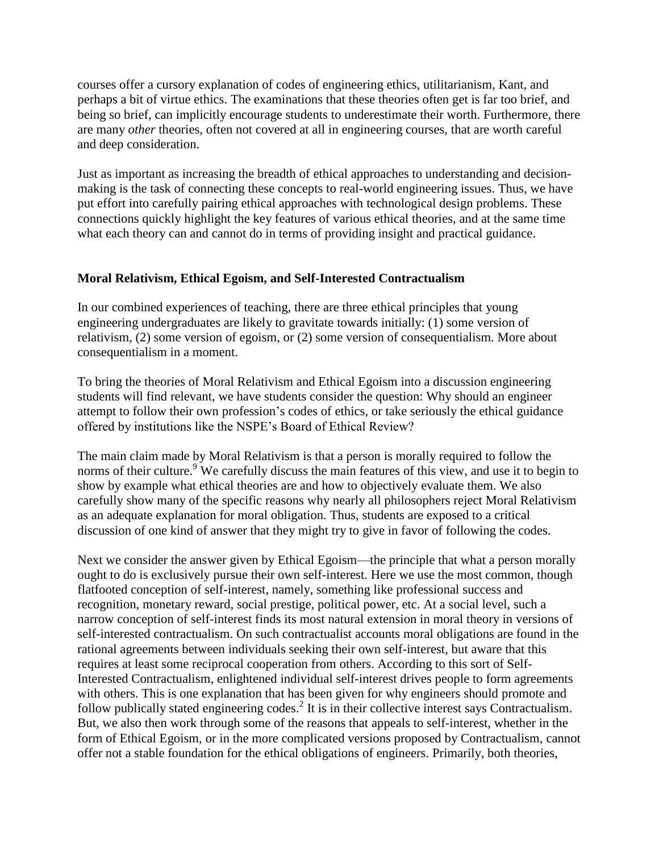courses offer a cursory explanation of codes of engineering ethics, utilitarianism, Kant, and perhaps a bit of virtue ethics. The examinations that these theories often get is far too brief, and being so brief, can implicitly encourage students to underestimate their worth. Furthermore, there are many *other* theories, often not covered at all in engineering courses, that are worth careful and deep consideration.

Just as important as increasing the breadth of ethical approaches to understanding and decisionmaking is the task of connecting these concepts to real-world engineering issues. Thus, we have put effort into carefully pairing ethical approaches with technological design problems. These connections quickly highlight the key features of various ethical theories, and at the same time what each theory can and cannot do in terms of providing insight and practical guidance.

## **Moral Relativism, Ethical Egoism, and Self-Interested Contractualism**

In our combined experiences of teaching, there are three ethical principles that young engineering undergraduates are likely to gravitate towards initially: (1) some version of relativism, (2) some version of egoism, or (2) some version of consequentialism. More about consequentialism in a moment.

To bring the theories of Moral Relativism and Ethical Egoism into a discussion engineering students will find relevant, we have students consider the question: Why should an engineer attempt to follow their own profession's codes of ethics, or take seriously the ethical guidance offered by institutions like the NSPE's Board of Ethical Review?

The main claim made by Moral Relativism is that a person is morally required to follow the norms of their culture.<sup>9</sup> We carefully discuss the main features of this view, and use it to begin to show by example what ethical theories are and how to objectively evaluate them. We also carefully show many of the specific reasons why nearly all philosophers reject Moral Relativism as an adequate explanation for moral obligation. Thus, students are exposed to a critical discussion of one kind of answer that they might try to give in favor of following the codes.

Next we consider the answer given by Ethical Egoism—the principle that what a person morally ought to do is exclusively pursue their own self-interest. Here we use the most common, though flatfooted conception of self-interest, namely, something like professional success and recognition, monetary reward, social prestige, political power, etc. At a social level, such a narrow conception of self-interest finds its most natural extension in moral theory in versions of self-interested contractualism. On such contractualist accounts moral obligations are found in the rational agreements between individuals seeking their own self-interest, but aware that this requires at least some reciprocal cooperation from others. According to this sort of Self-Interested Contractualism, enlightened individual self-interest drives people to form agreements with others. This is one explanation that has been given for why engineers should promote and follow publically stated engineering codes.<sup>2</sup> It is in their collective interest says Contractualism. But, we also then work through some of the reasons that appeals to self-interest, whether in the form of Ethical Egoism, or in the more complicated versions proposed by Contractualism, cannot offer not a stable foundation for the ethical obligations of engineers. Primarily, both theories,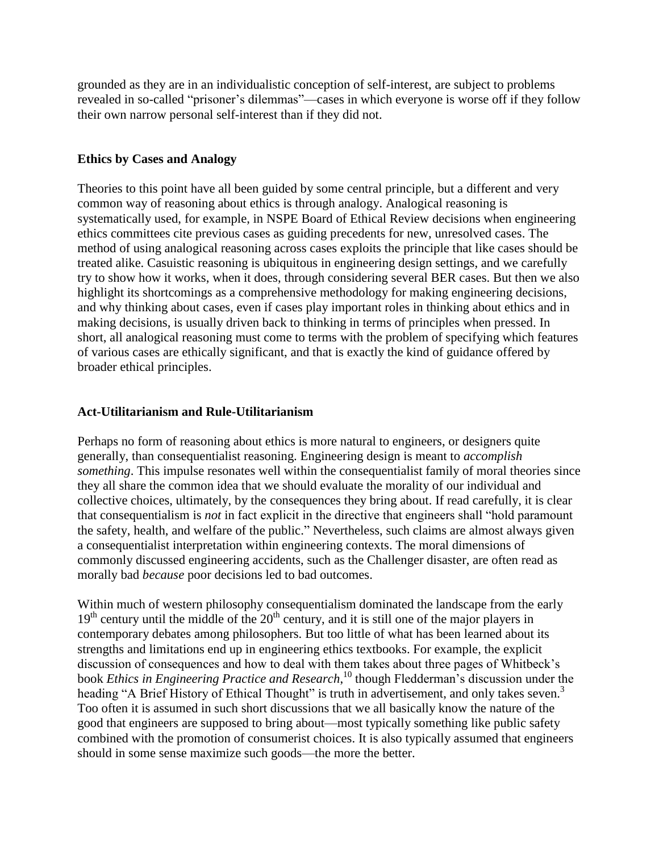grounded as they are in an individualistic conception of self-interest, are subject to problems revealed in so-called "prisoner's dilemmas"—cases in which everyone is worse off if they follow their own narrow personal self-interest than if they did not.

# **Ethics by Cases and Analogy**

Theories to this point have all been guided by some central principle, but a different and very common way of reasoning about ethics is through analogy. Analogical reasoning is systematically used, for example, in NSPE Board of Ethical Review decisions when engineering ethics committees cite previous cases as guiding precedents for new, unresolved cases. The method of using analogical reasoning across cases exploits the principle that like cases should be treated alike. Casuistic reasoning is ubiquitous in engineering design settings, and we carefully try to show how it works, when it does, through considering several BER cases. But then we also highlight its shortcomings as a comprehensive methodology for making engineering decisions, and why thinking about cases, even if cases play important roles in thinking about ethics and in making decisions, is usually driven back to thinking in terms of principles when pressed. In short, all analogical reasoning must come to terms with the problem of specifying which features of various cases are ethically significant, and that is exactly the kind of guidance offered by broader ethical principles.

## **Act-Utilitarianism and Rule-Utilitarianism**

Perhaps no form of reasoning about ethics is more natural to engineers, or designers quite generally, than consequentialist reasoning. Engineering design is meant to *accomplish something*. This impulse resonates well within the consequentialist family of moral theories since they all share the common idea that we should evaluate the morality of our individual and collective choices, ultimately, by the consequences they bring about. If read carefully, it is clear that consequentialism is *not* in fact explicit in the directive that engineers shall "hold paramount the safety, health, and welfare of the public." Nevertheless, such claims are almost always given a consequentialist interpretation within engineering contexts. The moral dimensions of commonly discussed engineering accidents, such as the Challenger disaster, are often read as morally bad *because* poor decisions led to bad outcomes.

Within much of western philosophy consequentialism dominated the landscape from the early  $19<sup>th</sup>$  century until the middle of the  $20<sup>th</sup>$  century, and it is still one of the major players in contemporary debates among philosophers. But too little of what has been learned about its strengths and limitations end up in engineering ethics textbooks. For example, the explicit discussion of consequences and how to deal with them takes about three pages of Whitbeck's book *Ethics in Engineering Practice and Research*,<sup>10</sup> though Fledderman's discussion under the heading "A Brief History of Ethical Thought" is truth in advertisement, and only takes seven.<sup>3</sup> Too often it is assumed in such short discussions that we all basically know the nature of the good that engineers are supposed to bring about—most typically something like public safety combined with the promotion of consumerist choices. It is also typically assumed that engineers should in some sense maximize such goods—the more the better.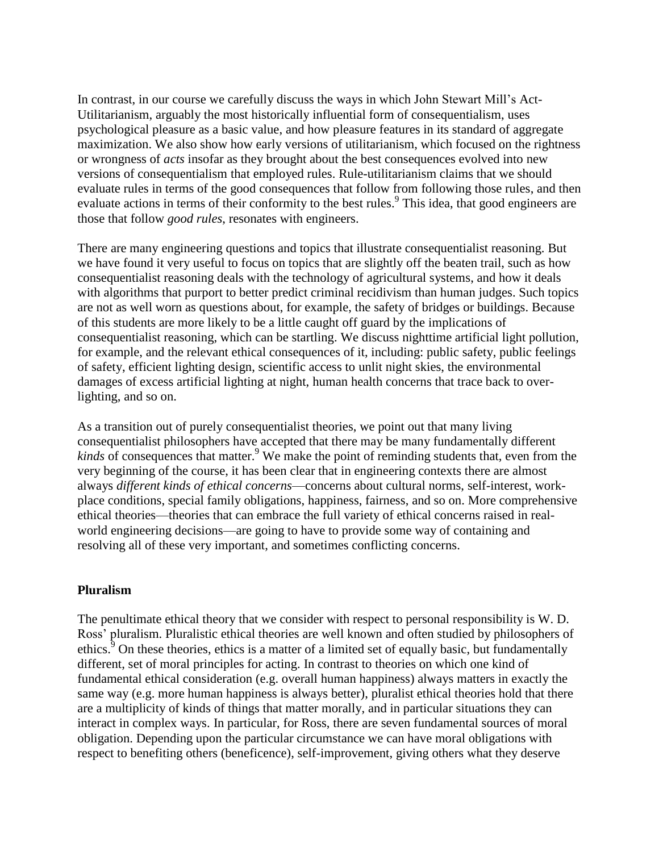In contrast, in our course we carefully discuss the ways in which John Stewart Mill's Act-Utilitarianism, arguably the most historically influential form of consequentialism, uses psychological pleasure as a basic value, and how pleasure features in its standard of aggregate maximization. We also show how early versions of utilitarianism, which focused on the rightness or wrongness of *acts* insofar as they brought about the best consequences evolved into new versions of consequentialism that employed rules. Rule-utilitarianism claims that we should evaluate rules in terms of the good consequences that follow from following those rules, and then evaluate actions in terms of their conformity to the best rules.<sup>9</sup> This idea, that good engineers are those that follow *good rules*, resonates with engineers.

There are many engineering questions and topics that illustrate consequentialist reasoning. But we have found it very useful to focus on topics that are slightly off the beaten trail, such as how consequentialist reasoning deals with the technology of agricultural systems, and how it deals with algorithms that purport to better predict criminal recidivism than human judges. Such topics are not as well worn as questions about, for example, the safety of bridges or buildings. Because of this students are more likely to be a little caught off guard by the implications of consequentialist reasoning, which can be startling. We discuss nighttime artificial light pollution, for example, and the relevant ethical consequences of it, including: public safety, public feelings of safety, efficient lighting design, scientific access to unlit night skies, the environmental damages of excess artificial lighting at night, human health concerns that trace back to overlighting, and so on.

As a transition out of purely consequentialist theories, we point out that many living consequentialist philosophers have accepted that there may be many fundamentally different *kinds* of consequences that matter.<sup>9</sup> We make the point of reminding students that, even from the very beginning of the course, it has been clear that in engineering contexts there are almost always *different kinds of ethical concerns*—concerns about cultural norms, self-interest, workplace conditions, special family obligations, happiness, fairness, and so on. More comprehensive ethical theories—theories that can embrace the full variety of ethical concerns raised in realworld engineering decisions—are going to have to provide some way of containing and resolving all of these very important, and sometimes conflicting concerns.

### **Pluralism**

The penultimate ethical theory that we consider with respect to personal responsibility is W. D. Ross' pluralism. Pluralistic ethical theories are well known and often studied by philosophers of ethics.<sup>9</sup> On these theories, ethics is a matter of a limited set of equally basic, but fundamentally different, set of moral principles for acting. In contrast to theories on which one kind of fundamental ethical consideration (e.g. overall human happiness) always matters in exactly the same way (e.g. more human happiness is always better), pluralist ethical theories hold that there are a multiplicity of kinds of things that matter morally, and in particular situations they can interact in complex ways. In particular, for Ross, there are seven fundamental sources of moral obligation. Depending upon the particular circumstance we can have moral obligations with respect to benefiting others (beneficence), self-improvement, giving others what they deserve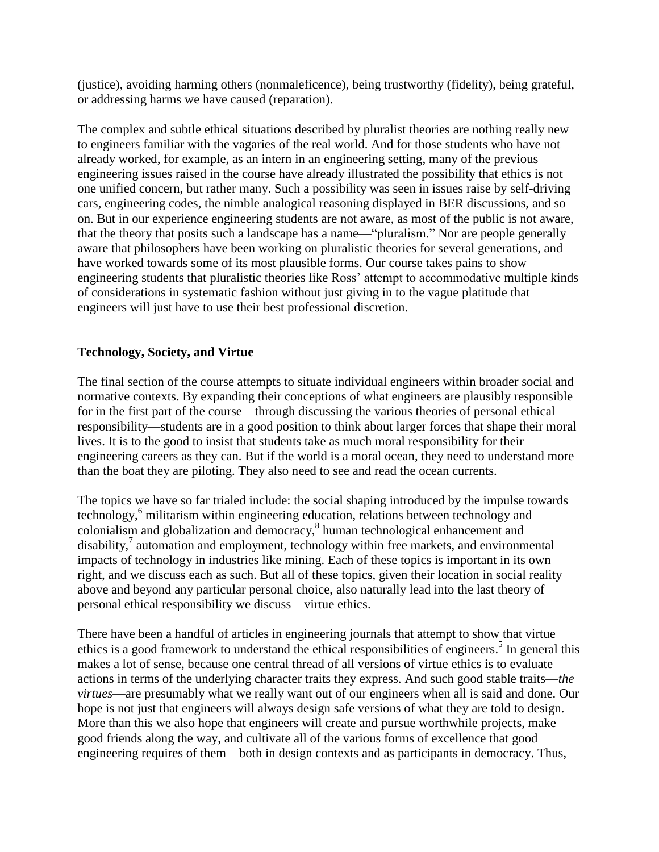(justice), avoiding harming others (nonmaleficence), being trustworthy (fidelity), being grateful, or addressing harms we have caused (reparation).

The complex and subtle ethical situations described by pluralist theories are nothing really new to engineers familiar with the vagaries of the real world. And for those students who have not already worked, for example, as an intern in an engineering setting, many of the previous engineering issues raised in the course have already illustrated the possibility that ethics is not one unified concern, but rather many. Such a possibility was seen in issues raise by self-driving cars, engineering codes, the nimble analogical reasoning displayed in BER discussions, and so on. But in our experience engineering students are not aware, as most of the public is not aware, that the theory that posits such a landscape has a name—"pluralism." Nor are people generally aware that philosophers have been working on pluralistic theories for several generations, and have worked towards some of its most plausible forms. Our course takes pains to show engineering students that pluralistic theories like Ross' attempt to accommodative multiple kinds of considerations in systematic fashion without just giving in to the vague platitude that engineers will just have to use their best professional discretion.

## **Technology, Society, and Virtue**

The final section of the course attempts to situate individual engineers within broader social and normative contexts. By expanding their conceptions of what engineers are plausibly responsible for in the first part of the course—through discussing the various theories of personal ethical responsibility—students are in a good position to think about larger forces that shape their moral lives. It is to the good to insist that students take as much moral responsibility for their engineering careers as they can. But if the world is a moral ocean, they need to understand more than the boat they are piloting. They also need to see and read the ocean currents.

The topics we have so far trialed include: the social shaping introduced by the impulse towards technology,<sup>6</sup> militarism within engineering education, relations between technology and colonialism and globalization and democracy, 8 human technological enhancement and disability,<sup>7</sup> automation and employment, technology within free markets, and environmental impacts of technology in industries like mining. Each of these topics is important in its own right, and we discuss each as such. But all of these topics, given their location in social reality above and beyond any particular personal choice, also naturally lead into the last theory of personal ethical responsibility we discuss—virtue ethics.

There have been a handful of articles in engineering journals that attempt to show that virtue ethics is a good framework to understand the ethical responsibilities of engineers.<sup>5</sup> In general this makes a lot of sense, because one central thread of all versions of virtue ethics is to evaluate actions in terms of the underlying character traits they express. And such good stable traits—*the virtues*—are presumably what we really want out of our engineers when all is said and done. Our hope is not just that engineers will always design safe versions of what they are told to design. More than this we also hope that engineers will create and pursue worthwhile projects, make good friends along the way, and cultivate all of the various forms of excellence that good engineering requires of them—both in design contexts and as participants in democracy. Thus,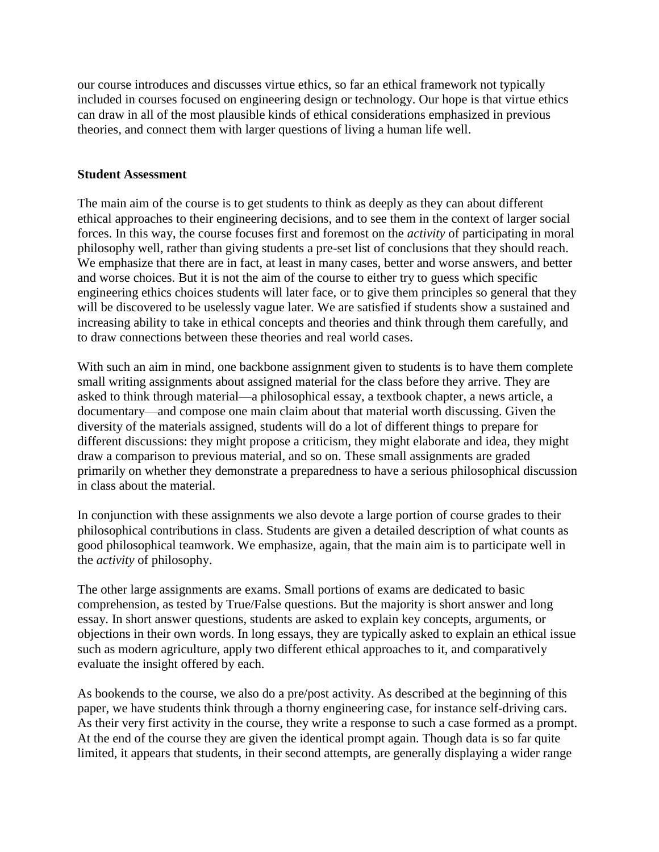our course introduces and discusses virtue ethics, so far an ethical framework not typically included in courses focused on engineering design or technology. Our hope is that virtue ethics can draw in all of the most plausible kinds of ethical considerations emphasized in previous theories, and connect them with larger questions of living a human life well.

## **Student Assessment**

The main aim of the course is to get students to think as deeply as they can about different ethical approaches to their engineering decisions, and to see them in the context of larger social forces. In this way, the course focuses first and foremost on the *activity* of participating in moral philosophy well, rather than giving students a pre-set list of conclusions that they should reach. We emphasize that there are in fact, at least in many cases, better and worse answers, and better and worse choices. But it is not the aim of the course to either try to guess which specific engineering ethics choices students will later face, or to give them principles so general that they will be discovered to be uselessly vague later. We are satisfied if students show a sustained and increasing ability to take in ethical concepts and theories and think through them carefully, and to draw connections between these theories and real world cases.

With such an aim in mind, one backbone assignment given to students is to have them complete small writing assignments about assigned material for the class before they arrive. They are asked to think through material—a philosophical essay, a textbook chapter, a news article, a documentary—and compose one main claim about that material worth discussing. Given the diversity of the materials assigned, students will do a lot of different things to prepare for different discussions: they might propose a criticism, they might elaborate and idea, they might draw a comparison to previous material, and so on. These small assignments are graded primarily on whether they demonstrate a preparedness to have a serious philosophical discussion in class about the material.

In conjunction with these assignments we also devote a large portion of course grades to their philosophical contributions in class. Students are given a detailed description of what counts as good philosophical teamwork. We emphasize, again, that the main aim is to participate well in the *activity* of philosophy.

The other large assignments are exams. Small portions of exams are dedicated to basic comprehension, as tested by True/False questions. But the majority is short answer and long essay. In short answer questions, students are asked to explain key concepts, arguments, or objections in their own words. In long essays, they are typically asked to explain an ethical issue such as modern agriculture, apply two different ethical approaches to it, and comparatively evaluate the insight offered by each.

As bookends to the course, we also do a pre/post activity. As described at the beginning of this paper, we have students think through a thorny engineering case, for instance self-driving cars. As their very first activity in the course, they write a response to such a case formed as a prompt. At the end of the course they are given the identical prompt again. Though data is so far quite limited, it appears that students, in their second attempts, are generally displaying a wider range